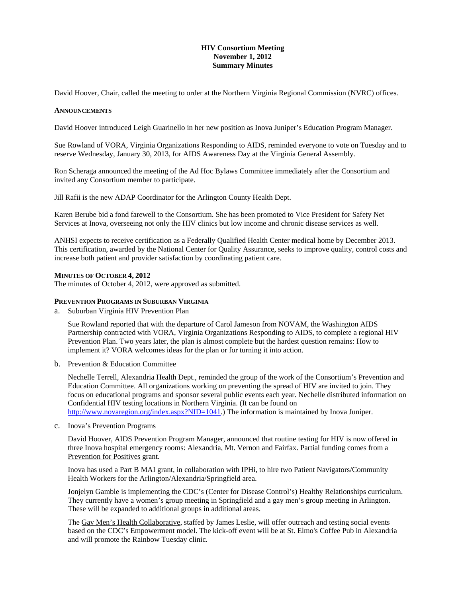# **HIV Consortium Meeting November 1, 2012 Summary Minutes**

David Hoover, Chair, called the meeting to order at the Northern Virginia Regional Commission (NVRC) offices.

## **ANNOUNCEMENTS**

David Hoover introduced Leigh Guarinello in her new position as Inova Juniper's Education Program Manager.

Sue Rowland of VORA, Virginia Organizations Responding to AIDS, reminded everyone to vote on Tuesday and to reserve Wednesday, January 30, 2013, for AIDS Awareness Day at the Virginia General Assembly.

Ron Scheraga announced the meeting of the Ad Hoc Bylaws Committee immediately after the Consortium and invited any Consortium member to participate.

Jill Rafii is the new ADAP Coordinator for the Arlington County Health Dept.

Karen Berube bid a fond farewell to the Consortium. She has been promoted to Vice President for Safety Net Services at Inova, overseeing not only the HIV clinics but low income and chronic disease services as well.

ANHSI expects to receive certification as a Federally Qualified Health Center medical home by December 2013. This certification, awarded by the National Center for Quality Assurance, seeks to improve quality, control costs and increase both patient and provider satisfaction by coordinating patient care.

## **MINUTES OF OCTOBER 4, 2012**

The minutes of October 4, 2012, were approved as submitted.

## **PREVENTION PROGRAMS IN SUBURBAN VIRGINIA**

a. Suburban Virginia HIV Prevention Plan

Sue Rowland reported that with the departure of Carol Jameson from NOVAM, the Washington AIDS Partnership contracted with VORA, Virginia Organizations Responding to AIDS, to complete a regional HIV Prevention Plan. Two years later, the plan is almost complete but the hardest question remains: How to implement it? VORA welcomes ideas for the plan or for turning it into action.

b. Prevention & Education Committee

Nechelle Terrell, Alexandria Health Dept., reminded the group of the work of the Consortium's Prevention and Education Committee. All organizations working on preventing the spread of HIV are invited to join. They focus on educational programs and sponsor several public events each year. Nechelle distributed information on Confidential HIV testing locations in Northern Virginia. (It can be found on http://www.novaregion.org/index.aspx?NID=1041.) The information is maintained by Inova Juniper.

c. Inova's Prevention Programs

David Hoover, AIDS Prevention Program Manager, announced that routine testing for HIV is now offered in three Inova hospital emergency rooms: Alexandria, Mt. Vernon and Fairfax. Partial funding comes from a Prevention for Positives grant.

Inova has used a Part B MAI grant, in collaboration with IPHi, to hire two Patient Navigators/Community Health Workers for the Arlington/Alexandria/Springfield area.

Jonjelyn Gamble is implementing the CDC's (Center for Disease Control's) Healthy Relationships curriculum. They currently have a women's group meeting in Springfield and a gay men's group meeting in Arlington. These will be expanded to additional groups in additional areas.

The Gay Men's Health Collaborative, staffed by James Leslie, will offer outreach and testing social events based on the CDC's Empowerment model. The kick-off event will be at St. Elmo's Coffee Pub in Alexandria and will promote the Rainbow Tuesday clinic.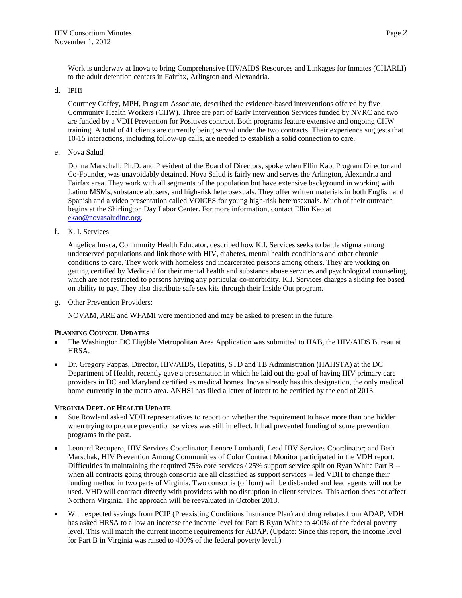Work is underway at Inova to bring Comprehensive HIV/AIDS Resources and Linkages for Inmates (CHARLI) to the adult detention centers in Fairfax, Arlington and Alexandria.

## d. IPHi

Courtney Coffey, MPH, Program Associate, described the evidence-based interventions offered by five Community Health Workers (CHW). Three are part of Early Intervention Services funded by NVRC and two are funded by a VDH Prevention for Positives contract. Both programs feature extensive and ongoing CHW training. A total of 41 clients are currently being served under the two contracts. Their experience suggests that 10-15 interactions, including follow-up calls, are needed to establish a solid connection to care.

e. Nova Salud

Donna Marschall, Ph.D. and President of the Board of Directors, spoke when Ellin Kao, Program Director and Co-Founder, was unavoidably detained. Nova Salud is fairly new and serves the Arlington, Alexandria and Fairfax area. They work with all segments of the population but have extensive background in working with Latino MSMs, substance abusers, and high-risk heterosexuals. They offer written materials in both English and Spanish and a video presentation called VOICES for young high-risk heterosexuals. Much of their outreach begins at the Shirlington Day Labor Center. For more information, contact Ellin Kao at ekao@novasaludinc.org.

f. K. I. Services

Angelica Imaca, Community Health Educator, described how K.I. Services seeks to battle stigma among underserved populations and link those with HIV, diabetes, mental health conditions and other chronic conditions to care. They work with homeless and incarcerated persons among others. They are working on getting certified by Medicaid for their mental health and substance abuse services and psychological counseling, which are not restricted to persons having any particular co-morbidity. K.I. Services charges a sliding fee based on ability to pay. They also distribute safe sex kits through their Inside Out program.

g. Other Prevention Providers:

NOVAM, ARE and WFAMI were mentioned and may be asked to present in the future.

## **PLANNING COUNCIL UPDATES**

- The Washington DC Eligible Metropolitan Area Application was submitted to HAB, the HIV/AIDS Bureau at HRSA.
- Dr. Gregory Pappas, Director, HIV/AIDS, Hepatitis, STD and TB Administration (HAHSTA) at the DC Department of Health, recently gave a presentation in which he laid out the goal of having HIV primary care providers in DC and Maryland certified as medical homes. Inova already has this designation, the only medical home currently in the metro area. ANHSI has filed a letter of intent to be certified by the end of 2013.

#### **VIRGINIA DEPT. OF HEALTH UPDATE**

- Sue Rowland asked VDH representatives to report on whether the requirement to have more than one bidder when trying to procure prevention services was still in effect. It had prevented funding of some prevention programs in the past.
- Leonard Recupero, HIV Services Coordinator; Lenore Lombardi, Lead HIV Services Coordinator; and Beth Marschak, HIV Prevention Among Communities of Color Contract Monitor participated in the VDH report. Difficulties in maintaining the required 75% core services / 25% support service split on Ryan White Part B -when all contracts going through consortia are all classified as support services -- led VDH to change their funding method in two parts of Virginia. Two consortia (of four) will be disbanded and lead agents will not be used. VHD will contract directly with providers with no disruption in client services. This action does not affect Northern Virginia. The approach will be reevaluated in October 2013.
- With expected savings from PCIP (Preexisting Conditions Insurance Plan) and drug rebates from ADAP, VDH has asked HRSA to allow an increase the income level for Part B Ryan White to 400% of the federal poverty level. This will match the current income requirements for ADAP. (Update: Since this report, the income level for Part B in Virginia was raised to 400% of the federal poverty level.)